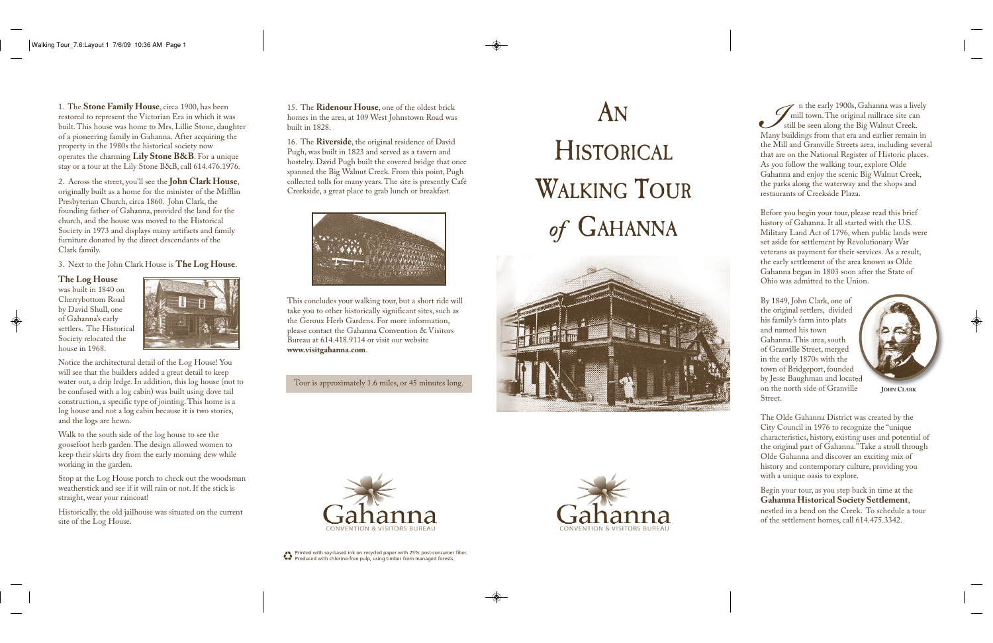II n the early 1900s, Gahanna was a lively mill town. The original millrace site can still be seen along the Big Walnut Creek. Many buildings from that era and earlier remain in the Mill and Granville Streets area, including several that are on the National Register of Historic places. As you follow the walking tour, explore Olde Gahanna and enjoy the scenic Big Walnut Creek, the parks along the waterway and the shops and restaurants of Creekside Plaza.

Before you begin your tour, please read this brief history of Gahanna. It all started with the U.S. Military Land Act of 1796, when public lands were set aside for settlement by Revolutionary War veterans as payment for their services. As a result, the early settlement of the area known as Olde Gahanna began in 1803 soon after the State of Ohio was admitted to the Union.

By 1849, John Clark, one of the original settlers, divided his family's farm into plats and named his town Gahanna. This area, south of Granville Street, merged in the early 1870s with the town of Bridgeport, founded by Jesse Baughman and located on the north side of Granville Street.

The Olde Gahanna District was created by the City Council in 1976 to recognize the "unique characteristics, history, existing uses and potential of the original part of Gahanna." Take a stroll through Olde Gahanna and discover an exciting mix of history and contemporary culture, providing you with a unique oasis to explore.

Begin your tour, as you step back in time at the **Gahanna Historical Society Settlement**, nestled in a bend on the Creek. To schedule a tour of the settlement homes, call 614.475.3342.

1. The **Stone Family House**, circa 1900, has been restored to represent the Victorian Era in which it was built. This house was home to Mrs. Lillie Stone, daughter of a pioneering family in Gahanna. After acquiring the property in the 1980s the historical society now operates the charming **Lily Stone B&B**. For a unique stay or a tour at the Lily Stone B&B, call 614.476.1976.

2. Across the street, you'll see the **John Clark House**, originally built as a home for the minister of the Mifflin Presbyterian Church, circa 1860. John Clark, the founding father of Gahanna, provided the land for the church, and the house was moved to the Historical Society in 1973 and displays many artifacts and family furniture donated by the direct descendants of the Clark family.

3. Next to the John Clark House is **The Log House**.

**The Log House**

was built in 1840 on Cherrybottom Road by David Shull, one of Gahanna's early settlers. The Historical Society relocated the house in 1968.



Notice the architectural detail of the Log House! You will see that the builders added a great detail to keep water out, a drip ledge. In addition, this log house (not to be confused with a log cabin) was built using dove tail construction, a specific type of jointing. This home is a log house and not a log cabin because it is two stories, and the logs are hewn.

Walk to the south side of the log house to see the goosefoot herb garden. The design allowed women to keep their skirts dry from the early morning dew while working in the garden.

Stop at the Log House porch to check out the woodsman weatherstick and see if it will rain or not. If the stick is straight, wear your raincoat!

Historically, the old jailhouse was situated on the current site of the Log House.

## AN **HISTORICAL** WALKING TOUR *of* GAHANNA









**JOHN CLARK**

15. The **Ridenour House**, one of the oldest brick homes in the area, at 109 West Johnstown Road was built in 1828.

16. The **Riverside**, the original residence of David Pugh, was built in 1823 and served as a tavern and hostelry. David Pugh built the covered bridge that once spanned the Big Walnut Creek. From this point, Pugh collected tolls for many years. The site is presently Café Creekside, a great place to grab lunch or breakfast.



This concludes your walking tour, but a short ride will take you to other historically significant sites, such as the Geroux Herb Gardens. For more information, please contact the Gahanna Convention & Visitors Bureau at 614.418.9114 or visit our website **www.visitgahanna.com**.

Tour is approximately 1.6 miles, or 45 minutes long.